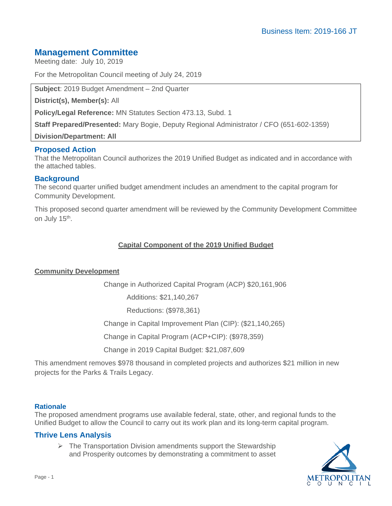## **Management Committee**

Meeting date: July 10, 2019

For the Metropolitan Council meeting of July 24, 2019

**Subject**: 2019 Budget Amendment – 2nd Quarter

**District(s), Member(s):** All

**Policy/Legal Reference:** MN Statutes Section 473.13, Subd. 1

**Staff Prepared/Presented:** Mary Bogie, Deputy Regional Administrator / CFO (651-602-1359)

**Division/Department: All**

### **Proposed Action**

That the Metropolitan Council authorizes the 2019 Unified Budget as indicated and in accordance with the attached tables.

#### **Background**

The second quarter unified budget amendment includes an amendment to the capital program for Community Development.

This proposed second quarter amendment will be reviewed by the Community Development Committee on July 15<sup>th</sup>.

### **Capital Component of the 2019 Unified Budget**

#### **Community Development**

Change in Authorized Capital Program (ACP) \$20,161,906

Additions: \$21,140,267

Reductions: (\$978,361)

Change in Capital Improvement Plan (CIP): (\$21,140,265)

Change in Capital Program (ACP+CIP): (\$978,359)

Change in 2019 Capital Budget: \$21,087,609

This amendment removes \$978 thousand in completed projects and authorizes \$21 million in new projects for the Parks & Trails Legacy.

#### **Rationale**

The proposed amendment programs use available federal, state, other, and regional funds to the Unified Budget to allow the Council to carry out its work plan and its long-term capital program.

#### **Thrive Lens Analysis**

 $\triangleright$  The Transportation Division amendments support the Stewardship and Prosperity outcomes by demonstrating a commitment to asset

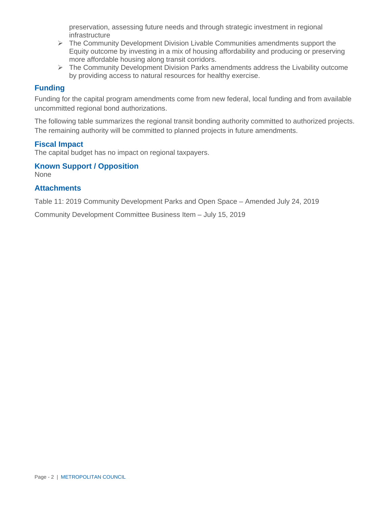preservation, assessing future needs and through strategic investment in regional infrastructure

- $\triangleright$  The Community Development Division Livable Communities amendments support the Equity outcome by investing in a mix of housing affordability and producing or preserving more affordable housing along transit corridors.
- $\triangleright$  The Community Development Division Parks amendments address the Livability outcome by providing access to natural resources for healthy exercise.

## **Funding**

Funding for the capital program amendments come from new federal, local funding and from available uncommitted regional bond authorizations.

The following table summarizes the regional transit bonding authority committed to authorized projects. The remaining authority will be committed to planned projects in future amendments.

### **Fiscal Impact**

The capital budget has no impact on regional taxpayers.

## **Known Support / Opposition**

None

### **Attachments**

Table 11: 2019 Community Development Parks and Open Space – Amended July 24, 2019

Community Development Committee Business Item – July 15, 2019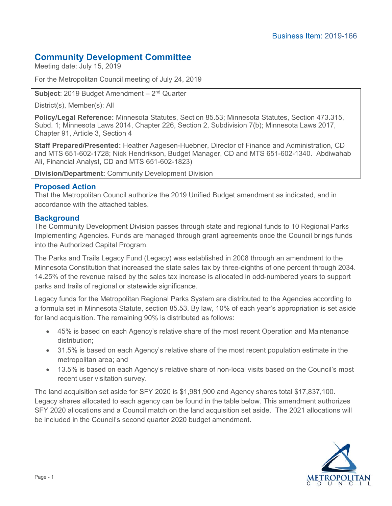# **Community Development Committee**

Meeting date: July 15, 2019

For the Metropolitan Council meeting of July 24, 2019

**Subject**: 2019 Budget Amendment – 2nd Quarter

District(s), Member(s): All

**Policy/Legal Reference:** Minnesota Statutes, Section 85.53; Minnesota Statutes, Section 473.315, Subd. 1; Minnesota Laws 2014, Chapter 226, Section 2, Subdivision 7(b); Minnesota Laws 2017, Chapter 91, Article 3, Section 4

**Staff Prepared/Presented:** Heather Aagesen-Huebner, Director of Finance and Administration, CD and MTS 651-602-1728; Nick Hendrikson, Budget Manager, CD and MTS 651-602-1340. Abdiwahab Ali, Financial Analyst, CD and MTS 651-602-1823)

**Division/Department:** Community Development Division

### **Proposed Action**

That the Metropolitan Council authorize the 2019 Unified Budget amendment as indicated, and in accordance with the attached tables.

### **Background**

The Community Development Division passes through state and regional funds to 10 Regional Parks Implementing Agencies. Funds are managed through grant agreements once the Council brings funds into the Authorized Capital Program.

The Parks and Trails Legacy Fund (Legacy) was established in 2008 through an amendment to the Minnesota Constitution that increased the state sales tax by three-eighths of one percent through 2034. 14.25% of the revenue raised by the sales tax increase is allocated in odd-numbered years to support parks and trails of regional or statewide significance.

Legacy funds for the Metropolitan Regional Parks System are distributed to the Agencies according to a formula set in Minnesota Statute, section 85.53. By law, 10% of each year's appropriation is set aside for land acquisition. The remaining 90% is distributed as follows:

- 45% is based on each Agency's relative share of the most recent Operation and Maintenance distribution;
- 31.5% is based on each Agency's relative share of the most recent population estimate in the metropolitan area; and
- 13.5% is based on each Agency's relative share of non-local visits based on the Council's most recent user visitation survey.

The land acquisition set aside for SFY 2020 is \$1,981,900 and Agency shares total \$17,837,100. Legacy shares allocated to each agency can be found in the table below. This amendment authorizes SFY 2020 allocations and a Council match on the land acquisition set aside. The 2021 allocations will be included in the Council's second quarter 2020 budget amendment.

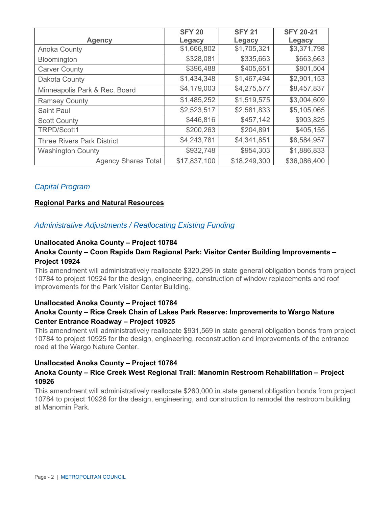|                                   | <b>SFY 20</b> | <b>SFY 21</b> | <b>SFY 20-21</b> |  |  |
|-----------------------------------|---------------|---------------|------------------|--|--|
| <b>Agency</b>                     | Legacy        | Legacy        | Legacy           |  |  |
| Anoka County                      | \$1,666,802   | \$1,705,321   | \$3,371,798      |  |  |
| Bloomington                       | \$328,081     | \$335,663     | \$663,663        |  |  |
| <b>Carver County</b>              | \$396,488     | \$405,651     | \$801,504        |  |  |
| Dakota County                     | \$1,434,348   | \$1,467,494   | \$2,901,153      |  |  |
| Minneapolis Park & Rec. Board     | \$4,179,003   | \$4,275,577   | \$8,457,837      |  |  |
| <b>Ramsey County</b>              | \$1,485,252   | \$1,519,575   | \$3,004,609      |  |  |
| <b>Saint Paul</b>                 | \$2,523,517   | \$2,581,833   | \$5,105,065      |  |  |
| <b>Scott County</b>               | \$446,816     | \$457,142     | \$903,825        |  |  |
| TRPD/Scott1                       | \$200,263     | \$204,891     | \$405,155        |  |  |
| <b>Three Rivers Park District</b> | \$4,243,781   | \$4,341,851   | \$8,584,957      |  |  |
| <b>Washington County</b>          | \$932,748     | \$954,303     | \$1,886,833      |  |  |
| <b>Agency Shares Total</b>        | \$17,837,100  | \$18,249,300  | \$36,086,400     |  |  |

## *Capital Program*

#### **Regional Parks and Natural Resources**

#### *Administrative Adjustments / Reallocating Existing Funding*

### **Unallocated Anoka County – Project 10784**

#### **Anoka County – Coon Rapids Dam Regional Park: Visitor Center Building Improvements – Project 10924**

This amendment will administratively reallocate \$320,295 in state general obligation bonds from project 10784 to project 10924 for the design, engineering, construction of window replacements and roof improvements for the Park Visitor Center Building.

#### **Unallocated Anoka County – Project 10784**

### **Anoka County – Rice Creek Chain of Lakes Park Reserve: Improvements to Wargo Nature Center Entrance Roadway – Project 10925**

This amendment will administratively reallocate \$931,569 in state general obligation bonds from project 10784 to project 10925 for the design, engineering, reconstruction and improvements of the entrance road at the Wargo Nature Center.

#### **Unallocated Anoka County – Project 10784**

#### **Anoka County – Rice Creek West Regional Trail: Manomin Restroom Rehabilitation – Project 10926**

This amendment will administratively reallocate \$260,000 in state general obligation bonds from project 10784 to project 10926 for the design, engineering, and construction to remodel the restroom building at Manomin Park.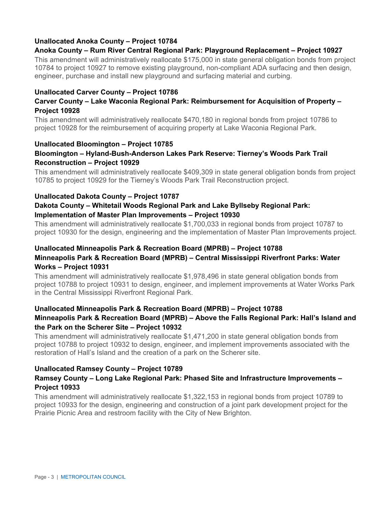## **Unallocated Anoka County – Project 10784**

### **Anoka County – Rum River Central Regional Park: Playground Replacement – Project 10927**

This amendment will administratively reallocate \$175,000 in state general obligation bonds from project 10784 to project 10927 to remove existing playground, non-compliant ADA surfacing and then design, engineer, purchase and install new playground and surfacing material and curbing.

#### **Unallocated Carver County – Project 10786**

### **Carver County – Lake Waconia Regional Park: Reimbursement for Acquisition of Property – Project 10928**

This amendment will administratively reallocate \$470,180 in regional bonds from project 10786 to project 10928 for the reimbursement of acquiring property at Lake Waconia Regional Park.

#### **Unallocated Bloomington – Project 10785**

### **Bloomington – Hyland-Bush-Anderson Lakes Park Reserve: Tierney's Woods Park Trail Reconstruction – Project 10929**

This amendment will administratively reallocate \$409,309 in state general obligation bonds from project 10785 to project 10929 for the Tierney's Woods Park Trail Reconstruction project.

### **Unallocated Dakota County – Project 10787**

## **Dakota County – Whitetail Woods Regional Park and Lake Byllseby Regional Park: Implementation of Master Plan Improvements – Project 10930**

This amendment will administratively reallocate \$1,700,033 in regional bonds from project 10787 to project 10930 for the design, engineering and the implementation of Master Plan Improvements project.

## **Unallocated Minneapolis Park & Recreation Board (MPRB) – Project 10788 Minneapolis Park & Recreation Board (MPRB) – Central Mississippi Riverfront Parks: Water Works – Project 10931**

This amendment will administratively reallocate \$1,978,496 in state general obligation bonds from project 10788 to project 10931 to design, engineer, and implement improvements at Water Works Park in the Central Mississippi Riverfront Regional Park.

#### **Unallocated Minneapolis Park & Recreation Board (MPRB) – Project 10788 Minneapolis Park & Recreation Board (MPRB) – Above the Falls Regional Park: Hall's Island and the Park on the Scherer Site – Project 10932**

This amendment will administratively reallocate \$1,471,200 in state general obligation bonds from project 10788 to project 10932 to design, engineer, and implement improvements associated with the restoration of Hall's Island and the creation of a park on the Scherer site.

#### **Unallocated Ramsey County – Project 10789**

### **Ramsey County – Long Lake Regional Park: Phased Site and Infrastructure Improvements – Project 10933**

This amendment will administratively reallocate \$1,322,153 in regional bonds from project 10789 to project 10933 for the design, engineering and construction of a joint park development project for the Prairie Picnic Area and restroom facility with the City of New Brighton.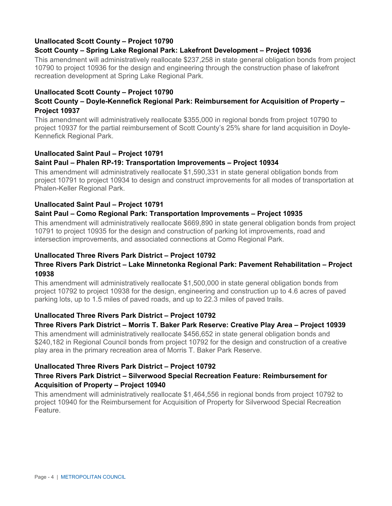## **Unallocated Scott County – Project 10790**

#### **Scott County – Spring Lake Regional Park: Lakefront Development – Project 10936**

This amendment will administratively reallocate \$237,258 in state general obligation bonds from project 10790 to project 10936 for the design and engineering through the construction phase of lakefront recreation development at Spring Lake Regional Park.

### **Unallocated Scott County – Project 10790**

### **Scott County – Doyle-Kennefick Regional Park: Reimbursement for Acquisition of Property – Project 10937**

This amendment will administratively reallocate \$355,000 in regional bonds from project 10790 to project 10937 for the partial reimbursement of Scott County's 25% share for land acquisition in Doyle-Kennefick Regional Park.

### **Unallocated Saint Paul – Project 10791**

### **Saint Paul – Phalen RP-19: Transportation Improvements – Project 10934**

This amendment will administratively reallocate \$1,590,331 in state general obligation bonds from project 10791 to project 10934 to design and construct improvements for all modes of transportation at Phalen-Keller Regional Park.

#### **Unallocated Saint Paul – Project 10791**

### **Saint Paul – Como Regional Park: Transportation Improvements – Project 10935**

This amendment will administratively reallocate \$669,890 in state general obligation bonds from project 10791 to project 10935 for the design and construction of parking lot improvements, road and intersection improvements, and associated connections at Como Regional Park.

#### **Unallocated Three Rivers Park District – Project 10792**

### **Three Rivers Park District – Lake Minnetonka Regional Park: Pavement Rehabilitation – Project 10938**

This amendment will administratively reallocate \$1,500,000 in state general obligation bonds from project 10792 to project 10938 for the design, engineering and construction up to 4.6 acres of paved parking lots, up to 1.5 miles of paved roads, and up to 22.3 miles of paved trails.

#### **Unallocated Three Rivers Park District – Project 10792**

### **Three Rivers Park District – Morris T. Baker Park Reserve: Creative Play Area – Project 10939**

This amendment will administratively reallocate \$456,652 in state general obligation bonds and \$240,182 in Regional Council bonds from project 10792 for the design and construction of a creative play area in the primary recreation area of Morris T. Baker Park Reserve.

#### **Unallocated Three Rivers Park District – Project 10792**

### **Three Rivers Park District – Silverwood Special Recreation Feature: Reimbursement for Acquisition of Property – Project 10940**

This amendment will administratively reallocate \$1,464,556 in regional bonds from project 10792 to project 10940 for the Reimbursement for Acquisition of Property for Silverwood Special Recreation Feature.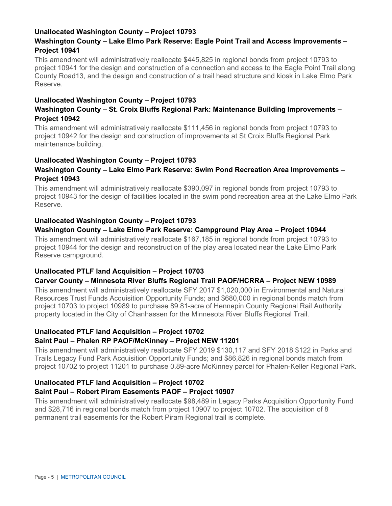#### **Unallocated Washington County – Project 10793**

### **Washington County – Lake Elmo Park Reserve: Eagle Point Trail and Access Improvements – Project 10941**

This amendment will administratively reallocate \$445,825 in regional bonds from project 10793 to project 10941 for the design and construction of a connection and access to the Eagle Point Trail along County Road13, and the design and construction of a trail head structure and kiosk in Lake Elmo Park Reserve.

### **Unallocated Washington County – Project 10793**

### **Washington County – St. Croix Bluffs Regional Park: Maintenance Building Improvements – Project 10942**

This amendment will administratively reallocate \$111,456 in regional bonds from project 10793 to project 10942 for the design and construction of improvements at St Croix Bluffs Regional Park maintenance building.

### **Unallocated Washington County – Project 10793**

### **Washington County – Lake Elmo Park Reserve: Swim Pond Recreation Area Improvements – Project 10943**

This amendment will administratively reallocate \$390,097 in regional bonds from project 10793 to project 10943 for the design of facilities located in the swim pond recreation area at the Lake Elmo Park Reserve.

#### **Unallocated Washington County – Project 10793**

### **Washington County – Lake Elmo Park Reserve: Campground Play Area – Project 10944**

This amendment will administratively reallocate \$167,185 in regional bonds from project 10793 to project 10944 for the design and reconstruction of the play area located near the Lake Elmo Park Reserve campground.

#### **Unallocated PTLF land Acquisition – Project 10703**

### **Carver County – Minnesota River Bluffs Regional Trail PAOF/HCRRA – Project NEW 10989**

This amendment will administratively reallocate SFY 2017 \$1,020,000 in Environmental and Natural Resources Trust Funds Acquisition Opportunity Funds; and \$680,000 in regional bonds match from project 10703 to project 10989 to purchase 89.81-acre of Hennepin County Regional Rail Authority property located in the City of Chanhassen for the Minnesota River Bluffs Regional Trail.

#### **Unallocated PTLF land Acquisition – Project 10702**

#### **Saint Paul – Phalen RP PAOF/McKinney – Project NEW 11201**

This amendment will administratively reallocate SFY 2019 \$130,117 and SFY 2018 \$122 in Parks and Trails Legacy Fund Park Acquisition Opportunity Funds; and \$86,826 in regional bonds match from project 10702 to project 11201 to purchase 0.89-acre McKinney parcel for Phalen-Keller Regional Park.

### **Unallocated PTLF land Acquisition – Project 10702**

#### **Saint Paul – Robert Piram Easements PAOF – Project 10907**

This amendment will administratively reallocate \$98,489 in Legacy Parks Acquisition Opportunity Fund and \$28,716 in regional bonds match from project 10907 to project 10702. The acquisition of 8 permanent trail easements for the Robert Piram Regional trail is complete.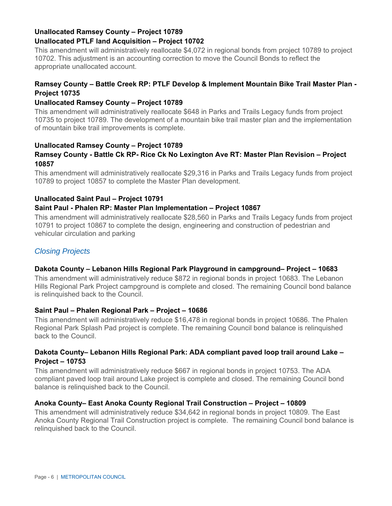## **Unallocated Ramsey County – Project 10789 Unallocated PTLF land Acquisition – Project 10702**

This amendment will administratively reallocate \$4,072 in regional bonds from project 10789 to project 10702. This adjustment is an accounting correction to move the Council Bonds to reflect the appropriate unallocated account.

## **Ramsey County – Battle Creek RP: PTLF Develop & Implement Mountain Bike Trail Master Plan - Project 10735**

### **Unallocated Ramsey County – Project 10789**

This amendment will administratively reallocate \$648 in Parks and Trails Legacy funds from project 10735 to project 10789. The development of a mountain bike trail master plan and the implementation of mountain bike trail improvements is complete.

## **Unallocated Ramsey County – Project 10789**

## **Ramsey County - Battle Ck RP- Rice Ck No Lexington Ave RT: Master Plan Revision – Project 10857**

This amendment will administratively reallocate \$29,316 in Parks and Trails Legacy funds from project 10789 to project 10857 to complete the Master Plan development.

## **Unallocated Saint Paul – Project 10791**

## **Saint Paul - Phalen RP: Master Plan Implementation – Project 10867**

This amendment will administratively reallocate \$28,560 in Parks and Trails Legacy funds from project 10791 to project 10867 to complete the design, engineering and construction of pedestrian and vehicular circulation and parking

## *Closing Projects*

## **Dakota County – Lebanon Hills Regional Park Playground in campground– Project – 10683**

This amendment will administratively reduce \$872 in regional bonds in project 10683. The Lebanon Hills Regional Park Project campground is complete and closed. The remaining Council bond balance is relinquished back to the Council.

### **Saint Paul – Phalen Regional Park – Project – 10686**

This amendment will administratively reduce \$16,478 in regional bonds in project 10686. The Phalen Regional Park Splash Pad project is complete. The remaining Council bond balance is relinquished back to the Council.

### **Dakota County– Lebanon Hills Regional Park: ADA compliant paved loop trail around Lake – Project – 10753**

This amendment will administratively reduce \$667 in regional bonds in project 10753. The ADA compliant paved loop trail around Lake project is complete and closed. The remaining Council bond balance is relinquished back to the Council.

### **Anoka County– East Anoka County Regional Trail Construction – Project – 10809**

This amendment will administratively reduce \$34,642 in regional bonds in project 10809. The East Anoka County Regional Trail Construction project is complete. The remaining Council bond balance is relinquished back to the Council.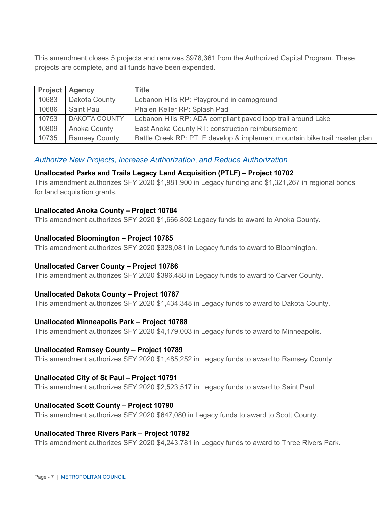This amendment closes 5 projects and removes \$978,361 from the Authorized Capital Program. These projects are complete, and all funds have been expended.

| <b>Project</b> | <b>Agency</b>        | <b>Title</b>                                                              |
|----------------|----------------------|---------------------------------------------------------------------------|
| 10683          | Dakota County        | Lebanon Hills RP: Playground in campground                                |
| 10686          | Saint Paul           | Phalen Keller RP: Splash Pad                                              |
| 10753          | <b>DAKOTA COUNTY</b> | Lebanon Hills RP: ADA compliant paved loop trail around Lake              |
| 10809          | Anoka County         | East Anoka County RT: construction reimbursement                          |
| 10735          | <b>Ramsey County</b> | Battle Creek RP: PTLF develop & implement mountain bike trail master plan |

### *Authorize New Projects, Increase Authorization*, *and Reduce Authorization*

#### **Unallocated Parks and Trails Legacy Land Acquisition (PTLF) – Project 10702**

This amendment authorizes SFY 2020 \$1,981,900 in Legacy funding and \$1,321,267 in regional bonds for land acquisition grants.

#### **Unallocated Anoka County – Project 10784**

This amendment authorizes SFY 2020 \$1,666,802 Legacy funds to award to Anoka County.

#### **Unallocated Bloomington – Project 10785**

This amendment authorizes SFY 2020 \$328,081 in Legacy funds to award to Bloomington.

#### **Unallocated Carver County – Project 10786**

This amendment authorizes SFY 2020 \$396,488 in Legacy funds to award to Carver County.

#### **Unallocated Dakota County – Project 10787**

This amendment authorizes SFY 2020 \$1,434,348 in Legacy funds to award to Dakota County.

#### **Unallocated Minneapolis Park – Project 10788**

This amendment authorizes SFY 2020 \$4,179,003 in Legacy funds to award to Minneapolis.

#### **Unallocated Ramsey County – Project 10789**

This amendment authorizes SFY 2020 \$1,485,252 in Legacy funds to award to Ramsey County.

#### **Unallocated City of St Paul – Project 10791**

This amendment authorizes SFY 2020 \$2,523,517 in Legacy funds to award to Saint Paul.

#### **Unallocated Scott County – Project 10790**

This amendment authorizes SFY 2020 \$647,080 in Legacy funds to award to Scott County.

#### **Unallocated Three Rivers Park – Project 10792**

This amendment authorizes SFY 2020 \$4,243,781 in Legacy funds to award to Three Rivers Park.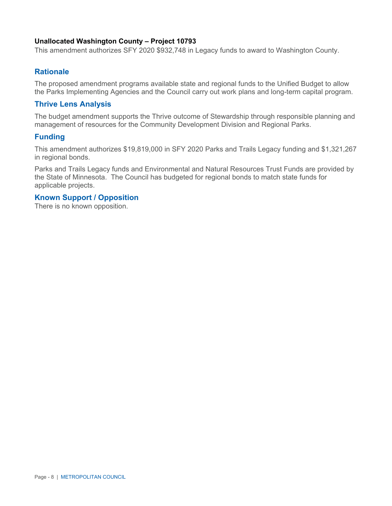#### **Unallocated Washington County – Project 10793**

This amendment authorizes SFY 2020 \$932,748 in Legacy funds to award to Washington County.

#### **Rationale**

The proposed amendment programs available state and regional funds to the Unified Budget to allow the Parks Implementing Agencies and the Council carry out work plans and long-term capital program.

#### **Thrive Lens Analysis**

The budget amendment supports the Thrive outcome of Stewardship through responsible planning and management of resources for the Community Development Division and Regional Parks.

#### **Funding**

This amendment authorizes \$19,819,000 in SFY 2020 Parks and Trails Legacy funding and \$1,321,267 in regional bonds.

Parks and Trails Legacy funds and Environmental and Natural Resources Trust Funds are provided by the State of Minnesota. The Council has budgeted for regional bonds to match state funds for applicable projects.

#### **Known Support / Opposition**

There is no known opposition.